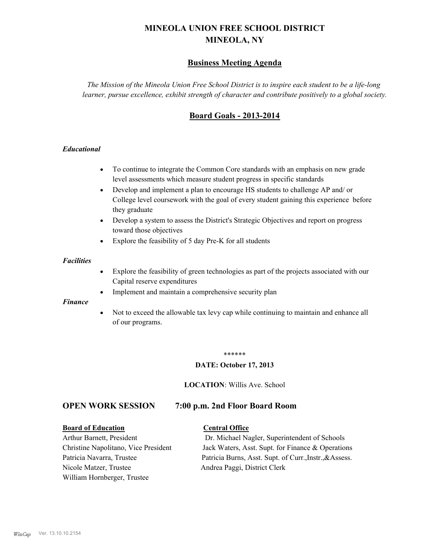# **MINEOLA UNION FREE SCHOOL DISTRICT MINEOLA, NY**

# **Business Meeting Agenda**

*The Mission of the Mineola Union Free School District is to inspire each student to be a life-long learner, pursue excellence, exhibit strength of character and contribute positively to a global society.*

# **Board Goals - 2013-2014**

### *Educational*

- · To continue to integrate the Common Core standards with an emphasis on new grade level assessments which measure student progress in specific standards
- · Develop and implement a plan to encourage HS students to challenge AP and/ or College level coursework with the goal of every student gaining this experience before they graduate
- Develop a system to assess the District's Strategic Objectives and report on progress toward those objectives
- · Explore the feasibility of 5 day Pre-K for all students

#### *Facilities*

- · Explore the feasibility of green technologies as part of the projects associated with our Capital reserve expenditures
- Implement and maintain a comprehensive security plan

#### *Finance*

• Not to exceed the allowable tax levy cap while continuing to maintain and enhance all of our programs.

#### \*\*\*\*\*\*

#### **DATE: October 17, 2013**

**LOCATION**: Willis Ave. School

# **OPEN WORK SESSION 7:00 p.m. 2nd Floor Board Room**

#### **Board of Education Central Office**

Nicole Matzer, Trustee Andrea Paggi, District Clerk William Hornberger, Trustee

Arthur Barnett, President Dr. Michael Nagler, Superintendent of Schools Christine Napolitano, Vice President Jack Waters, Asst. Supt. for Finance & Operations Patricia Navarra, Trustee Patricia Burns, Asst. Supt. of Curr., Instr., &Assess.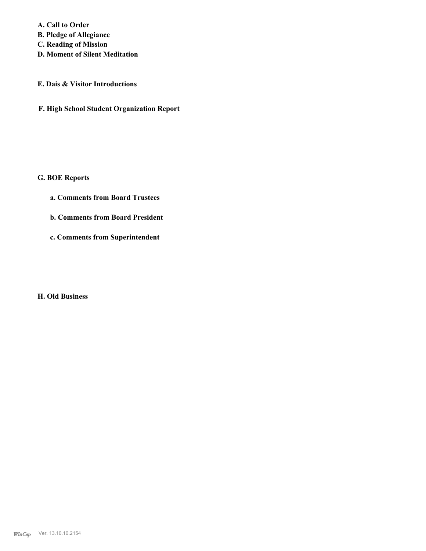**A. Call to Order B. Pledge of Allegiance C. Reading of Mission**

**D. Moment of Silent Meditation**

## **E. Dais & Visitor Introductions**

**F. High School Student Organization Report**

# **G. BOE Reports**

- **a. Comments from Board Trustees**
- **b. Comments from Board President**
- **c. Comments from Superintendent**

### **H. Old Business**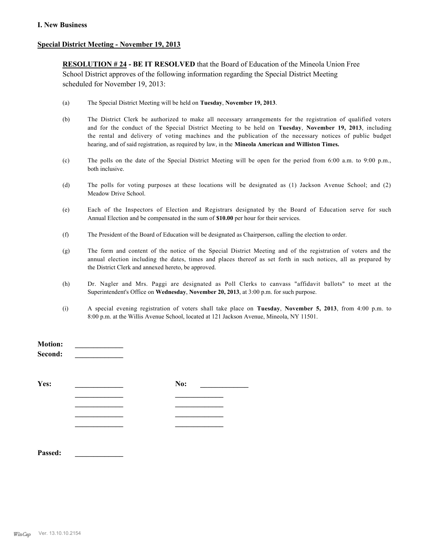#### **I. New Business**

#### **Special District Meeting - November 19, 2013**

**RESOLUTION # 24 - BE IT RESOLVED** that the Board of Education of the Mineola Union Free School District approves of the following information regarding the Special District Meeting scheduled for November 19, 2013:

- (a) The Special District Meeting will be held on **Tuesday**, **November 19, 2013**.
- (b) The District Clerk be authorized to make all necessary arrangements for the registration of qualified voters and for the conduct of the Special District Meeting to be held on **Tuesday**, **November 19, 2013**, including the rental and delivery of voting machines and the publication of the necessary notices of public budget hearing, and of said registration, as required by law, in the **Mineola American and Williston Times.**
- (c) The polls on the date of the Special District Meeting will be open for the period from 6:00 a.m. to 9:00 p.m., both inclusive.
- (d) The polls for voting purposes at these locations will be designated as (1) Jackson Avenue School; and (2) Meadow Drive School.
- (e) Each of the Inspectors of Election and Registrars designated by the Board of Education serve for such Annual Election and be compensated in the sum of **\$10.00** per hour for their services.
- (f) The President of the Board of Education will be designated as Chairperson, calling the election to order.
- (g) The form and content of the notice of the Special District Meeting and of the registration of voters and the annual election including the dates, times and places thereof as set forth in such notices, all as prepared by the District Clerk and annexed hereto, be approved.
- (h) Dr. Nagler and Mrs. Paggi are designated as Poll Clerks to canvass "affidavit ballots" to meet at the Superintendent's Office on **Wednesday**, **November 20, 2013**, at 3:00 p.m. for such purpose.
- (i) A special evening registration of voters shall take place on **Tuesday**, **November 5, 2013**, from 4:00 p.m. to 8:00 p.m. at the Willis Avenue School, located at 121 Jackson Avenue, Mineola, NY 11501.

| MOUOII:<br>Second: |     |
|--------------------|-----|
| Yes:               | No: |
|                    |     |
|                    |     |
|                    |     |
| Passed:            |     |

**Motion:**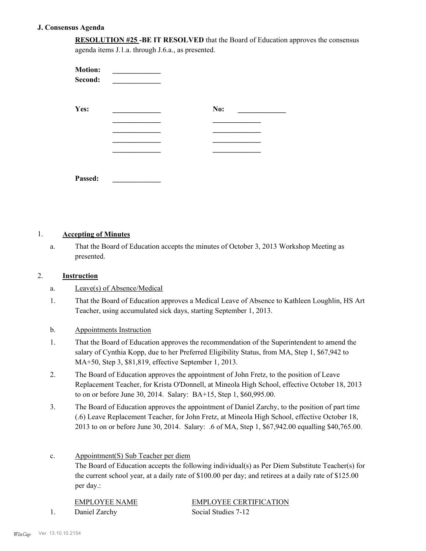#### **J. Consensus Agenda**

**RESOLUTION #25 -BE IT RESOLVED** that the Board of Education approves the consensus agenda items J.1.a. through J.6.a., as presented.

| <b>Motion:</b><br>Second: |     |  |
|---------------------------|-----|--|
| Yes:                      | No: |  |
|                           |     |  |
|                           |     |  |
|                           |     |  |
| Passed:                   |     |  |

### 1. **Accepting of Minutes**

That the Board of Education accepts the minutes of October 3, 2013 Workshop Meeting as presented. a.

#### 2. **Instruction**

- a. Leave(s) of Absence/Medical
- That the Board of Education approves a Medical Leave of Absence to Kathleen Loughlin, HS Art Teacher, using accumulated sick days, starting September 1, 2013. 1.

### b. Appointments Instruction

- That the Board of Education approves the recommendation of the Superintendent to amend the salary of Cynthia Kopp, due to her Preferred Eligibility Status, from MA, Step 1, \$67,942 to MA+50, Step 3, \$81,819, effective September 1, 2013. 1.
- The Board of Education approves the appointment of John Fretz, to the position of Leave Replacement Teacher, for Krista O'Donnell, at Mineola High School, effective October 18, 2013 to on or before June 30, 2014. Salary: BA+15, Step 1, \$60,995.00. 2.
- The Board of Education approves the appointment of Daniel Zarchy, to the position of part time (.6) Leave Replacement Teacher, for John Fretz, at Mineola High School, effective October 18, 2013 to on or before June 30, 2014. Salary: .6 of MA, Step 1, \$67,942.00 equalling \$40,765.00. 3.

#### Appointment(S) Sub Teacher per diem c.

The Board of Education accepts the following individual(s) as Per Diem Substitute Teacher(s) for the current school year, at a daily rate of \$100.00 per day; and retirees at a daily rate of \$125.00 per day.:

| EMPLOYEE NAME | <b>EMPLOYEE CERTIFICATION</b> |
|---------------|-------------------------------|
| Daniel Zarchy | Social Studies 7-12           |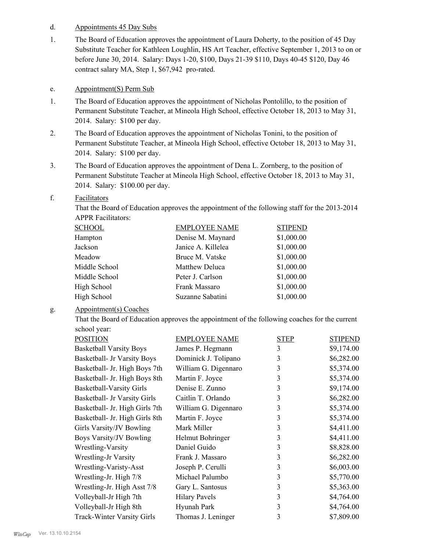#### d. Appointments 45 Day Subs

The Board of Education approves the appointment of Laura Doherty, to the position of 45 Day Substitute Teacher for Kathleen Loughlin, HS Art Teacher, effective September 1, 2013 to on or before June 30, 2014. Salary: Days 1-20, \$100, Days 21-39 \$110, Days 40-45 \$120, Day 46 contract salary MA, Step 1, \$67,942 pro-rated. 1.

#### e. Appointment(S) Perm Sub

- The Board of Education approves the appointment of Nicholas Pontolillo, to the position of Permanent Substitute Teacher, at Mineola High School, effective October 18, 2013 to May 31, 2014. Salary: \$100 per day. 1.
- The Board of Education approves the appointment of Nicholas Tonini, to the position of Permanent Substitute Teacher, at Mineola High School, effective October 18, 2013 to May 31, 2014. Salary: \$100 per day. 2.
- The Board of Education approves the appointment of Dena L. Zornberg, to the position of Permanent Substitute Teacher at Mineola High School, effective October 18, 2013 to May 31, 2014. Salary: \$100.00 per day. 3.

#### Facilitators f.

That the Board of Education approves the appointment of the following staff for the 2013-2014 APPR Facilitators:

| <u>SCHOOL</u> | <b>EMPLOYEE NAME</b> | <b>STIPEND</b> |
|---------------|----------------------|----------------|
| Hampton       | Denise M. Maynard    | \$1,000.00     |
| Jackson       | Janice A. Killelea   | \$1,000.00     |
| Meadow        | Bruce M. Vatske      | \$1,000.00     |
| Middle School | Matthew Deluca       | \$1,000.00     |
| Middle School | Peter J. Carlson     | \$1,000.00     |
| High School   | Frank Massaro        | \$1,000.00     |
| High School   | Suzanne Sabatini     | \$1,000.00     |
|               |                      |                |

#### Appointment(s) Coaches g.

That the Board of Education approves the appointment of the following coaches for the current school year:

| <b>POSITION</b>                   | <b>EMPLOYEE NAME</b> | <b>STEP</b> | <b>STIPEND</b> |
|-----------------------------------|----------------------|-------------|----------------|
| <b>Basketball Varsity Boys</b>    | James P. Hegmann     | 3           | \$9,174.00     |
| Basketball- Jr Varsity Boys       | Dominick J. Tolipano | 3           | \$6,282.00     |
| Basketball- Jr. High Boys 7th     | William G. Digennaro | 3           | \$5,374.00     |
| Basketball- Jr. High Boys 8th     | Martin F. Joyce      | 3           | \$5,374.00     |
| <b>Basketball-Varsity Girls</b>   | Denise E. Zunno      | 3           | \$9,174.00     |
| Basketball- Jr Varsity Girls      | Caitlin T. Orlando   | 3           | \$6,282.00     |
| Basketball- Jr. High Girls 7th    | William G. Digennaro | 3           | \$5,374.00     |
| Basketball- Jr. High Girls 8th    | Martin F. Joyce      | 3           | \$5,374.00     |
| Girls Varsity/JV Bowling          | Mark Miller          | 3           | \$4,411.00     |
| Boys Varsity/JV Bowling           | Helmut Bohringer     | 3           | \$4,411.00     |
| Wrestling-Varsity                 | Daniel Guido         | 3           | \$8,828.00     |
| Wrestling-Jr Varsity              | Frank J. Massaro     | 3           | \$6,282.00     |
| Wrestling-Varisty-Asst            | Joseph P. Cerulli    | 3           | \$6,003.00     |
| Wrestling-Jr. High 7/8            | Michael Palumbo      | 3           | \$5,770.00     |
| Wrestling-Jr. High Asst 7/8       | Gary L. Santosus     | 3           | \$5,363.00     |
| Volleyball-Jr High 7th            | <b>Hilary Pavels</b> | 3           | \$4,764.00     |
| Volleyball-Jr High 8th            | Hyunah Park          | 3           | \$4,764.00     |
| <b>Track-Winter Varsity Girls</b> | Thomas J. Leninger   | 3           | \$7,809.00     |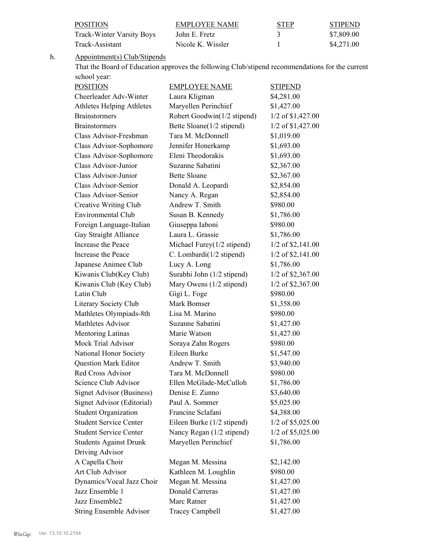| <b>POSITION</b>           | EMPLOYEE NAME     | <b>STEP</b> | <b>STIPEND</b> |
|---------------------------|-------------------|-------------|----------------|
| Track-Winter Varsity Boys | John E. Fretz     |             | \$7.809.00     |
| Track-Assistant           | Nicole K. Wissler |             | \$4.271.00     |

Appointment(s) Club/Stipends h.

That the Board of Education approves the following Club/stipend recommendations for the current school year:

| <b>POSITION</b>                  | <b>EMPLOYEE NAME</b>          | <b>STIPEND</b>      |
|----------------------------------|-------------------------------|---------------------|
| Cheerleader Adv-Winter           | Laura Kligman                 | \$4,281.00          |
| <b>Athletes Helping Athletes</b> | Maryellen Perinchief          | \$1,427.00          |
| <b>Brainstormers</b>             | Robert Goodwin(1/2 stipend)   | 1/2 of \$1,427.00   |
| <b>Brainstormers</b>             | Bette Sloane(1/2 stipend)     | 1/2 of \$1,427.00   |
| Class Advisor-Freshman           | Tara M. McDonnell             | \$1,019.00          |
| Class Advisor-Sophomore          | Jennifer Honerkamp            | \$1,693.00          |
| Class Advisor-Sophomore          | Eleni Theodorakis             | \$1,693.00          |
| Class Advisor-Junior             | Suzanne Sabatini              | \$2,367.00          |
| Class Advisor-Junior             | <b>Bette Sloane</b>           | \$2,367.00          |
| Class Advisor-Senior             | Donald A. Leopardi            | \$2,854.00          |
| Class Advisor-Senior             | Nancy A. Regan                | \$2,854.00          |
| Creative Writing Club            | Andrew T. Smith               | \$980.00            |
| <b>Environmental Club</b>        | Susan B. Kennedy              | \$1,786.00          |
| Foreign Language-Italian         | Giuseppa Iaboni               | \$980.00            |
| Gay Straight Alliance            | Laura L. Grassie              | \$1,786.00          |
| Increase the Peace               | Michael Furey $(1/2$ stipend) | 1/2 of \$2,141.00   |
| Increase the Peace               | C. Lombardi(1/2 stipend)      | $1/2$ of \$2,141.00 |
| Japanese Animee Club             | Lucy A. Long                  | \$1,786.00          |
| Kiwanis Club(Key Club)           | Surabhi John (1/2 stipend)    | 1/2 of \$2,367.00   |
| Kiwanis Club (Key Club)          | Mary Owens (1/2 stipend)      | 1/2 of \$2,367.00   |
| Latin Club                       | Gigi L. Foge                  | \$980.00            |
| Literary Society Club            | Mark Bomser                   | \$1,358.00          |
| Mathletes Olympiads-8th          | Lisa M. Marino                | \$980.00            |
| Mathletes Advisor                | Suzanne Sabatini              | \$1,427.00          |
| Mentoring Latinas                | Marie Watson                  | \$1,427.00          |
| Mock Trial Advisor               | Soraya Zahn Rogers            | \$980.00            |
| National Honor Society           | Eileen Burke                  | \$1,547.00          |
| <b>Question Mark Editor</b>      | Andrew T. Smith               | \$3,940.00          |
| <b>Red Cross Advisor</b>         | Tara M. McDonnell             | \$980.00            |
| Science Club Advisor             | Ellen McGlade-McCulloh        | \$1,786.00          |
| <b>Signet Advisor (Business)</b> | Denise E. Zunno               | \$3,640.00          |
| Signet Advisor (Editorial)       | Paul A. Sommer                | \$5,025.00          |
| <b>Student Organization</b>      | Francine Sclafani             | \$4,388.00          |
| <b>Student Service Center</b>    | Eileen Burke (1/2 stipend)    | 1/2 of \$5,025.00   |
| <b>Student Service Center</b>    | Nancy Regan (1/2 stipend)     | 1/2 of \$5,025.00   |
| <b>Students Against Drunk</b>    | Maryellen Perinchief          | \$1,786.00          |
| Driving Advisor                  |                               |                     |
| A Capella Choir                  | Megan M. Messina              | \$2,142.00          |
| Art Club Advisor                 | Kathleen M. Loughlin          | \$980.00            |
| Dynamics/Vocal Jazz Choir        | Megan M. Messina              | \$1,427.00          |
| Jazz Ensemble 1                  | <b>Donald Carreras</b>        | \$1,427.00          |
| Jazz Ensemble2                   | Marc Ratner                   | \$1,427.00          |
| <b>String Ensemble Advisor</b>   | <b>Tracey Campbell</b>        | \$1,427.00          |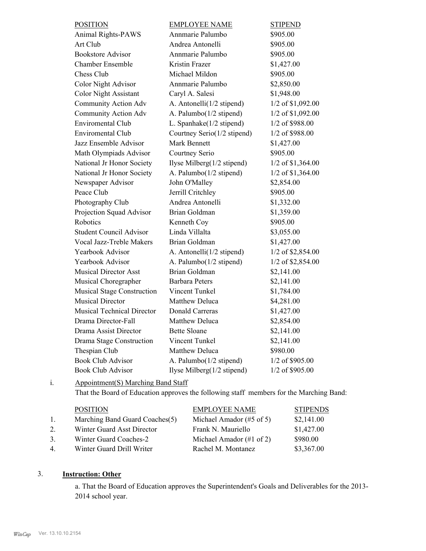| <b>POSITION</b>                   | <b>EMPLOYEE NAME</b>        | <b>STIPEND</b>    |
|-----------------------------------|-----------------------------|-------------------|
| <b>Animal Rights-PAWS</b>         | Annmarie Palumbo            | \$905.00          |
| Art Club                          | Andrea Antonelli            | \$905.00          |
| <b>Bookstore Advisor</b>          | Annmarie Palumbo            | \$905.00          |
| <b>Chamber Ensemble</b>           | Kristin Frazer              | \$1,427.00        |
| Chess Club                        | Michael Mildon              | \$905.00          |
| <b>Color Night Advisor</b>        | Annmarie Palumbo            | \$2,850.00        |
| <b>Color Night Assistant</b>      | Caryl A. Salesi             | \$1,948.00        |
| Community Action Adv              | A. Antonelli(1/2 stipend)   | 1/2 of \$1,092.00 |
| Community Action Adv              | A. Palumbo(1/2 stipend)     | 1/2 of \$1,092.00 |
| <b>Enviromental Club</b>          | L. Spanhake(1/2 stipend)    | 1/2 of \$988.00   |
| <b>Enviromental Club</b>          | Courtney Serio(1/2 stipend) | 1/2 of \$988.00   |
| Jazz Ensemble Advisor             | Mark Bennett                | \$1,427.00        |
| Math Olympiads Advisor            | Courtney Serio              | \$905.00          |
| National Jr Honor Society         | Ilyse Milberg(1/2 stipend)  | 1/2 of \$1,364.00 |
| National Jr Honor Society         | A. Palumbo(1/2 stipend)     | 1/2 of \$1,364.00 |
| Newspaper Advisor                 | John O'Malley               | \$2,854.00        |
| Peace Club                        | Jerrill Critchley           | \$905.00          |
| Photography Club                  | Andrea Antonelli            | \$1,332.00        |
| Projection Squad Advisor          | Brian Goldman               | \$1,359.00        |
| Robotics                          | Kenneth Coy                 | \$905.00          |
| <b>Student Council Advisor</b>    | Linda Villalta              | \$3,055.00        |
| Vocal Jazz-Treble Makers          | Brian Goldman               | \$1,427.00        |
| Yearbook Advisor                  | A. Antonelli(1/2 stipend)   | 1/2 of \$2,854.00 |
| Yearbook Advisor                  | A. Palumbo(1/2 stipend)     | 1/2 of \$2,854.00 |
| <b>Musical Director Asst</b>      | Brian Goldman               | \$2,141.00        |
| Musical Choregrapher              | <b>Barbara Peters</b>       | \$2,141.00        |
| <b>Musical Stage Construction</b> | Vincent Tunkel              | \$1,784.00        |
| <b>Musical Director</b>           | <b>Matthew Deluca</b>       | \$4,281.00        |
| <b>Musical Technical Director</b> | <b>Donald Carreras</b>      | \$1,427.00        |
| Drama Director-Fall               | Matthew Deluca              | \$2,854.00        |
| Drama Assist Director             | <b>Bette Sloane</b>         | \$2,141.00        |
| Drama Stage Construction          | Vincent Tunkel              | \$2,141.00        |
| Thespian Club                     | <b>Matthew Deluca</b>       | \$980.00          |
| <b>Book Club Advisor</b>          | A. Palumbo(1/2 stipend)     | 1/2 of \$905.00   |
| <b>Book Club Advisor</b>          | Ilyse Milberg(1/2 stipend)  | 1/2 of \$905.00   |

#### Appointment(S) Marching Band Staff i.

That the Board of Education approves the following staff members for the Marching Band:

|                | <b>POSITION</b>                | <b>EMPLOYEE NAME</b>                 | <b>STIPENDS</b> |
|----------------|--------------------------------|--------------------------------------|-----------------|
| $\mathbf{L}$   | Marching Band Guard Coaches(5) | Michael Amador $(\#5 \text{ of } 5)$ | \$2,141.00      |
| 2.             | Winter Guard Asst Director     | Frank N. Mauriello                   | \$1,427.00      |
| 3 <sub>1</sub> | Winter Guard Coaches-2         | Michael Amador $(\#1 \text{ of } 2)$ | \$980.00        |
| $\overline{4}$ | Winter Guard Drill Writer      | Rachel M. Montanez                   | \$3,367.00      |

# 3. **Instruction: Other**

a. That the Board of Education approves the Superintendent's Goals and Deliverables for the 2013- 2014 school year.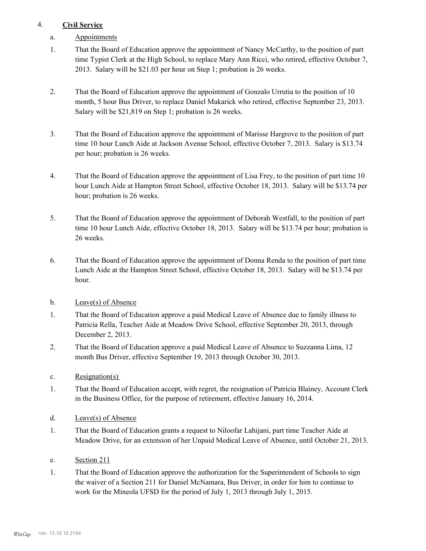# 4. **Civil Service**

- a. Appointments
- That the Board of Education approve the appointment of Nancy McCarthy, to the position of part time Typist Clerk at the High School, to replace Mary Ann Ricci, who retired, effective October 7, 2013. Salary will be \$21.03 per hour on Step 1; probation is 26 weeks. 1.
- That the Board of Education approve the appointment of Gonzalo Urrutia to the position of 10 month, 5 hour Bus Driver, to replace Daniel Makarick who retired, effective September 23, 2013. Salary will be \$21,819 on Step 1; probation is 26 weeks. 2.
- That the Board of Education approve the appointment of Marisse Hargrove to the position of part time 10 hour Lunch Aide at Jackson Avenue School, effective October 7, 2013. Salary is \$13.74 per hour; probation is 26 weeks. 3.
- That the Board of Education approve the appointment of Lisa Frey, to the position of part time 10 hour Lunch Aide at Hampton Street School, effective October 18, 2013. Salary will be \$13.74 per hour; probation is 26 weeks. 4.
- That the Board of Education approve the appointment of Deborah Westfall, to the position of part time 10 hour Lunch Aide, effective October 18, 2013. Salary will be \$13.74 per hour; probation is 26 weeks. 5.
- That the Board of Education approve the appointment of Donna Renda to the position of part time Lunch Aide at the Hampton Street School, effective October 18, 2013. Salary will be \$13.74 per hour. 6.
- b. Leave(s) of Absence
- That the Board of Education approve a paid Medical Leave of Absence due to family illness to Patricia Rella, Teacher Aide at Meadow Drive School, effective September 20, 2013, through December 2, 2013. 1.
- That the Board of Education approve a paid Medical Leave of Absence to Suzzanna Lima, 12 month Bus Driver, effective September 19, 2013 through October 30, 2013. 2.
- c. Resignation(s)
- That the Board of Education accept, with regret, the resignation of Patricia Blainey, Account Clerk in the Business Office, for the purpose of retirement, effective January 16, 2014. 1.
- d. Leave(s) of Absence
- That the Board of Education grants a request to Niloofar Lahijani, part time Teacher Aide at Meadow Drive, for an extension of her Unpaid Medical Leave of Absence, until October 21, 2013. 1.
- e. Section 211
- That the Board of Education approve the authorization for the Superintendent of Schools to sign the waiver of a Section 211 for Daniel McNamara, Bus Driver, in order for him to continue to work for the Mineola UFSD for the period of July 1, 2013 through July 1, 2015. 1.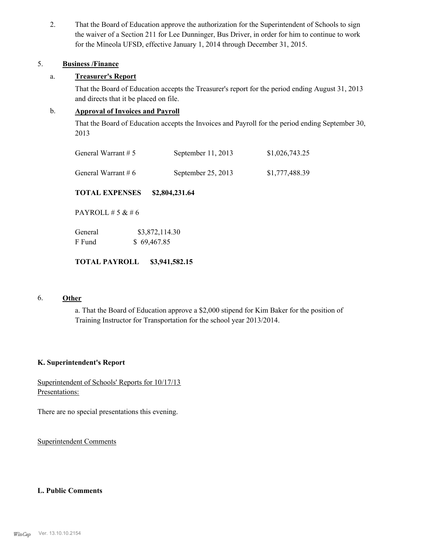That the Board of Education approve the authorization for the Superintendent of Schools to sign the waiver of a Section 211 for Lee Dunninger, Bus Driver, in order for him to continue to work for the Mineola UFSD, effective January 1, 2014 through December 31, 2015. 2.

### 5. **Business /Finance**

### a. **Treasurer's Report**

That the Board of Education accepts the Treasurer's report for the period ending August 31, 2013 and directs that it be placed on file.

# b. **Approval of Invoices and Payroll**

That the Board of Education accepts the Invoices and Payroll for the period ending September 30, 2013

| General Warrant $# 5$ | September $11, 2013$ | \$1,026,743.25 |
|-----------------------|----------------------|----------------|
| General Warrant # $6$ | September $25, 2013$ | \$1,777,488.39 |

**TOTAL EXPENSES \$2,804,231.64**

PAYROLL # 5 & # 6

| General | \$3,872,114.30 |
|---------|----------------|
| F Fund  | \$69,467.85    |

## **TOTAL PAYROLL \$3,941,582.15**

### 6. **Other**

a. That the Board of Education approve a \$2,000 stipend for Kim Baker for the position of Training Instructor for Transportation for the school year 2013/2014.

#### **K. Superintendent's Report**

Superintendent of Schools' Reports for 10/17/13 Presentations:

There are no special presentations this evening.

Superintendent Comments

### **L. Public Comments**